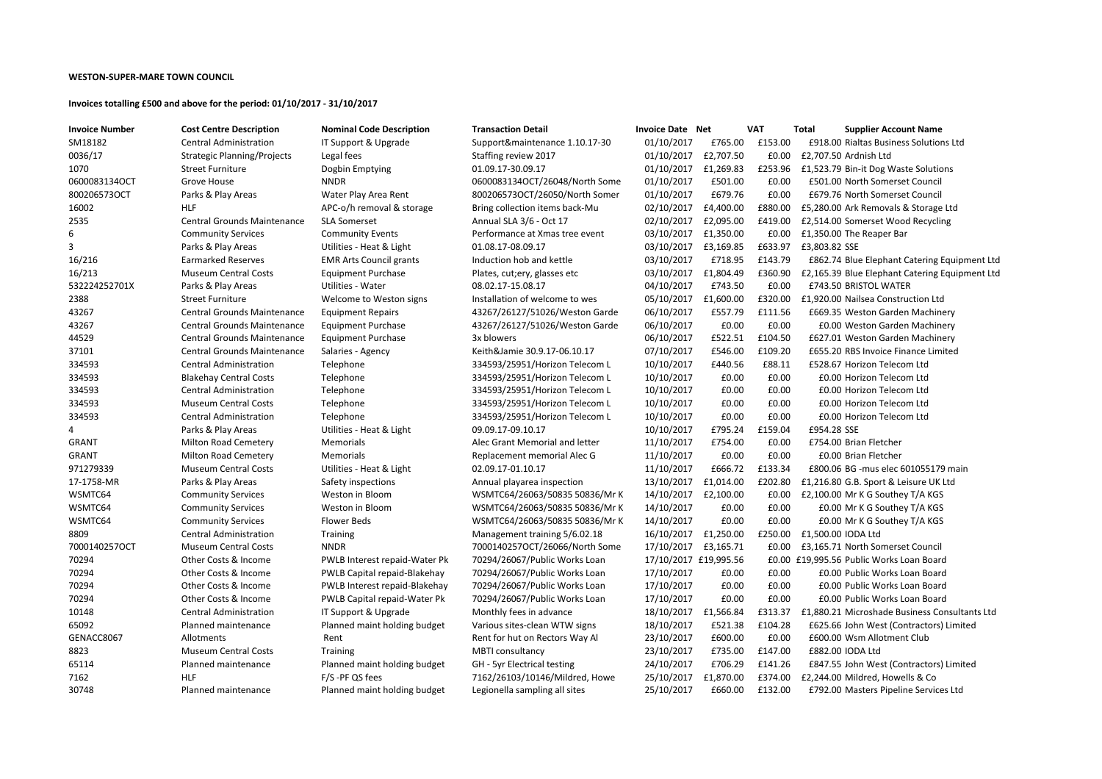#### **WESTON-SUPER-MARE TOWN COUNCIL**

#### **Invoices totalling £500 and above for the period: 01/10/2017 - 31/10/2017**

| <b>Invoice Number</b> | <b>Cost Centre Description</b>     | <b>Nominal Code Description</b> | <b>Transaction Detail</b>      | <b>Invoice Date Net</b> |                       | <b>VAT</b> | <b>Total</b><br><b>Supplier Accour</b> |
|-----------------------|------------------------------------|---------------------------------|--------------------------------|-------------------------|-----------------------|------------|----------------------------------------|
| SM18182               | <b>Central Administration</b>      | IT Support & Upgrade            | Support&maintenance 1.10.17-30 | 01/10/2017              | £765.00               | £153.00    | £918.00 Rialtas Business               |
| 0036/17               | <b>Strategic Planning/Projects</b> | Legal fees                      | Staffing review 2017           | 01/10/2017              | £2,707.50             | £0.00      | £2,707.50 Ardnish Ltd                  |
| 1070                  | <b>Street Furniture</b>            | Dogbin Emptying                 | 01.09.17-30.09.17              | 01/10/2017              | £1,269.83             | £253.96    | £1,523.79 Bin-it Dog Wast              |
| 0600083134OCT         | Grove House                        | <b>NNDR</b>                     | 0600083134OCT/26048/North Some | 01/10/2017              | £501.00               | £0.00      | £501.00 North Somerset                 |
| 800206573OCT          | Parks & Play Areas                 | Water Play Area Rent            | 800206573OCT/26050/North Somer | 01/10/2017              | £679.76               | £0.00      | £679.76 North Somerset                 |
| 16002                 | <b>HLF</b>                         | APC-o/h removal & storage       | Bring collection items back-Mu | 02/10/2017              | £4,400.00             | £880.00    | £5,280.00 Ark Removals &               |
| 2535                  | <b>Central Grounds Maintenance</b> | <b>SLA Somerset</b>             | Annual SLA 3/6 - Oct 17        | 02/10/2017              | £2,095.00             | £419.00    | £2,514.00 Somerset Wood                |
| 6                     | <b>Community Services</b>          | <b>Community Events</b>         | Performance at Xmas tree event | 03/10/2017              | £1,350.00             | £0.00      | £1,350.00 The Reaper Bar               |
| 3                     | Parks & Play Areas                 | Utilities - Heat & Light        | 01.08.17-08.09.17              | 03/10/2017              | £3,169.85             | £633.97    | £3,803.82 SSE                          |
| 16/216                | <b>Earmarked Reserves</b>          | <b>EMR Arts Council grants</b>  | Induction hob and kettle       | 03/10/2017              | £718.95               | £143.79    | £862.74 Blue Elephant C                |
| 16/213                | <b>Museum Central Costs</b>        | <b>Equipment Purchase</b>       | Plates, cut; ery, glasses etc  | 03/10/2017              | £1,804.49             | £360.90    | £2,165.39 Blue Elephant C              |
| 532224252701X         | Parks & Play Areas                 | <b>Utilities - Water</b>        | 08.02.17-15.08.17              | 04/10/2017              | £743.50               | £0.00      | £743.50 BRISTOL WATER                  |
| 2388                  | <b>Street Furniture</b>            | Welcome to Weston signs         | Installation of welcome to wes | 05/10/2017              | £1,600.00             | £320.00    | £1,920.00 Nailsea Constru              |
| 43267                 | <b>Central Grounds Maintenance</b> | <b>Equipment Repairs</b>        | 43267/26127/51026/Weston Garde | 06/10/2017              | £557.79               | £111.56    | £669.35 Weston Garden                  |
| 43267                 | <b>Central Grounds Maintenance</b> | <b>Equipment Purchase</b>       | 43267/26127/51026/Weston Garde | 06/10/2017              | £0.00                 | £0.00      | £0.00 Weston Garden                    |
| 44529                 | <b>Central Grounds Maintenance</b> | <b>Equipment Purchase</b>       | 3x blowers                     | 06/10/2017              | £522.51               | £104.50    | £627.01 Weston Garden                  |
| 37101                 | <b>Central Grounds Maintenance</b> | Salaries - Agency               | Keith&Jamie 30.9.17-06.10.17   | 07/10/2017              | £546.00               | £109.20    | £655.20 RBS Invoice Fina               |
| 334593                | <b>Central Administration</b>      | Telephone                       | 334593/25951/Horizon Telecom L | 10/10/2017              | £440.56               | £88.11     | £528.67 Horizon Telecon                |
| 334593                | <b>Blakehay Central Costs</b>      | Telephone                       | 334593/25951/Horizon Telecom L | 10/10/2017              | £0.00                 | £0.00      | £0.00 Horizon Telecon                  |
| 334593                | <b>Central Administration</b>      | Telephone                       | 334593/25951/Horizon Telecom L | 10/10/2017              | £0.00                 | £0.00      | £0.00 Horizon Telecon                  |
| 334593                | <b>Museum Central Costs</b>        | Telephone                       | 334593/25951/Horizon Telecom L | 10/10/2017              | £0.00                 | £0.00      | £0.00 Horizon Telecon                  |
| 334593                | <b>Central Administration</b>      | Telephone                       | 334593/25951/Horizon Telecom L | 10/10/2017              | £0.00                 | £0.00      | £0.00 Horizon Telecon                  |
| 4                     | Parks & Play Areas                 | Utilities - Heat & Light        | 09.09.17-09.10.17              | 10/10/2017              | £795.24               | £159.04    | £954.28 SSE                            |
| <b>GRANT</b>          | <b>Milton Road Cemetery</b>        | Memorials                       | Alec Grant Memorial and letter | 11/10/2017              | £754.00               | £0.00      | £754.00 Brian Fletcher                 |
| <b>GRANT</b>          | <b>Milton Road Cemetery</b>        | Memorials                       | Replacement memorial Alec G    | 11/10/2017              | £0.00                 | £0.00      | £0.00 Brian Fletcher                   |
| 971279339             | <b>Museum Central Costs</b>        | Utilities - Heat & Light        | 02.09.17-01.10.17              | 11/10/2017              | £666.72               | £133.34    | £800.06 BG -mus elec 60                |
| 17-1758-MR            | Parks & Play Areas                 | Safety inspections              | Annual playarea inspection     | 13/10/2017              | £1,014.00             | £202.80    | £1,216.80 G.B. Sport & Lei:            |
| WSMTC64               | <b>Community Services</b>          | Weston in Bloom                 | WSMTC64/26063/50835 50836/Mr K | 14/10/2017              | £2,100.00             | £0.00      | £2,100.00 Mr K G Southey               |
| WSMTC64               | <b>Community Services</b>          | Weston in Bloom                 | WSMTC64/26063/50835 50836/Mr K | 14/10/2017              | £0.00                 | £0.00      | £0.00 Mr K G Southey                   |
| WSMTC64               | <b>Community Services</b>          | <b>Flower Beds</b>              | WSMTC64/26063/50835 50836/MrK  | 14/10/2017              | £0.00                 | £0.00      | £0.00 Mr K G Southey                   |
| 8809                  | <b>Central Administration</b>      | <b>Training</b>                 | Management training 5/6.02.18  |                         | 16/10/2017 £1,250.00  |            | £250.00 £1,500.00 IODA Ltd             |
| 7000140257OCT         | <b>Museum Central Costs</b>        | <b>NNDR</b>                     | 7000140257OCT/26066/North Some | 17/10/2017              | £3,165.71             | £0.00      | £3,165.71 North Somerset               |
| 70294                 | Other Costs & Income               | PWLB Interest repaid-Water Pk   | 70294/26067/Public Works Loan  |                         | 17/10/2017 £19,995.56 |            | £0.00 £19,995.56 Public Works Lo       |
| 70294                 | Other Costs & Income               | PWLB Capital repaid-Blakehay    | 70294/26067/Public Works Loan  | 17/10/2017              | £0.00                 | £0.00      | £0.00 Public Works Lo                  |
| 70294                 | Other Costs & Income               | PWLB Interest repaid-Blakehay   | 70294/26067/Public Works Loan  | 17/10/2017              | £0.00                 | £0.00      | £0.00 Public Works Lo                  |
| 70294                 | Other Costs & Income               | PWLB Capital repaid-Water Pk    | 70294/26067/Public Works Loan  | 17/10/2017              | £0.00                 | £0.00      | £0.00 Public Works Lo                  |
| 10148                 | <b>Central Administration</b>      | IT Support & Upgrade            | Monthly fees in advance        | 18/10/2017              | £1,566.84             | £313.37    | £1,880.21 Microshade Bus               |
| 65092                 | Planned maintenance                | Planned maint holding budget    | Various sites-clean WTW signs  | 18/10/2017              | £521.38               | £104.28    | £625.66 John West (Cont                |
| GENACC8067            | Allotments                         | Rent                            | Rent for hut on Rectors Way Al | 23/10/2017              | £600.00               | £0.00      | £600.00 Wsm Allotment                  |
| 8823                  | <b>Museum Central Costs</b>        | <b>Training</b>                 |                                |                         |                       | £147.00    | £882.00 IODA Ltd                       |
| 65114                 | Planned maintenance                |                                 | MBTI consultancy               | 23/10/2017              | £735.00               | £141.26    |                                        |
|                       |                                    | Planned maint holding budget    | GH - 5yr Electrical testing    | 24/10/2017              | £706.29               |            | £847.55 John West (Cont                |
| 7162                  | <b>HLF</b>                         | F/S-PF QS fees                  | 7162/26103/10146/Mildred, Howe | 25/10/2017              | £1,870.00             | £374.00    | £2,244.00 Mildred, Howell              |
| 30748                 | Planned maintenance                | Planned maint holding budget    | Legionella sampling all sites  | 25/10/2017              | £660.00               | £132.00    | £792.00 Masters Pipeline               |

### **Supplier Account Name**

18.00 Rialtas Business Solutions Ltd 23.79 Bin-it Dog Waste Solutions 01.00 North Somerset Council **8002020** Para Rent Romerset Council 20.00 Ark Removals & Storage Ltd 14.00 Somerset Wood Recycling 62.74 Blue Elephant Catering Equipment Ltd 65.39 Blue Elephant Catering Equipment Ltd 20.00 Nailsea Construction Ltd 69.35 Weston Garden Machinery £0.00 Weston Garden Machinery 27.01 Weston Garden Machinery 55.20 RBS Invoice Finance Limited 28.67 Horizon Telecom Ltd £0.00 Horizon Telecom Ltd £0.00 Horizon Telecom Ltd £0.00 Horizon Telecom Ltd £0.00 Horizon Telecom Ltd 00.06 BG - mus elec 601055179 main 16.80 G.B. Sport & Leisure UK Ltd 00.00 Mr K G Southey T/A KGS E0.00 Mr K G Southey T/A KGS E0.00 Mr K G Southey T/A KGS 65.71 North Somerset Council 95.56 Public Works Loan Board £0.00 Public Works Loan Board E0.00 Public Works Loan Board E0.00 Public Works Loan Board 80.21 Microshade Business Consultants Ltd 25.66 John West (Contractors) Limited 00.00 Wsm Allotment Club 47.55 John West (Contractors) Limited 14.00 Mildred, Howells & Co 92.00 Masters Pipeline Services Ltd